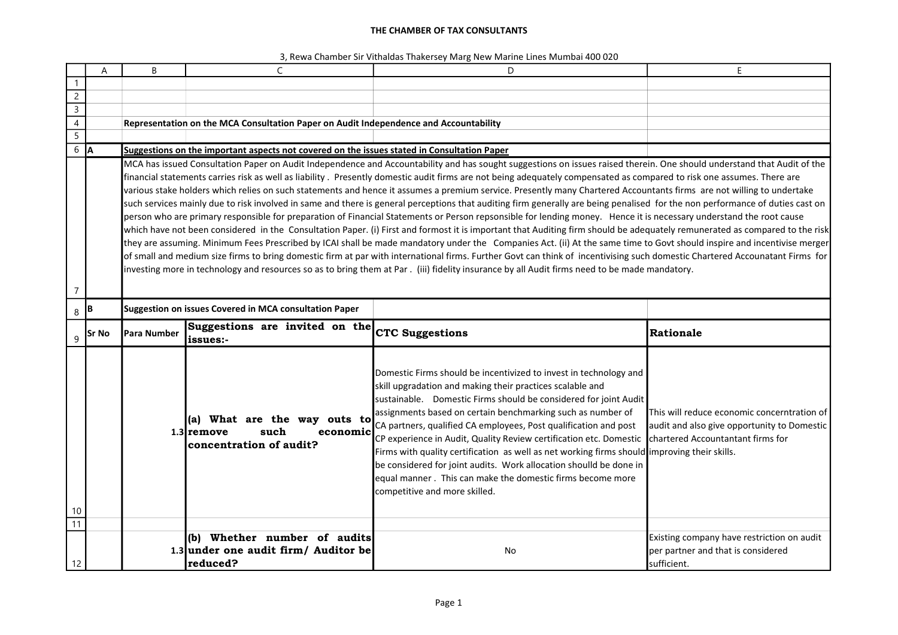|                  | A            | B            | C                                                                                                                                                                       | D                                                                                                                                                                                                                                                                                                                                                                                                                                                                                                                                                                                                                                                                                | E                                                                                                                                        |
|------------------|--------------|--------------|-------------------------------------------------------------------------------------------------------------------------------------------------------------------------|----------------------------------------------------------------------------------------------------------------------------------------------------------------------------------------------------------------------------------------------------------------------------------------------------------------------------------------------------------------------------------------------------------------------------------------------------------------------------------------------------------------------------------------------------------------------------------------------------------------------------------------------------------------------------------|------------------------------------------------------------------------------------------------------------------------------------------|
| $\mathbf{1}$     |              |              |                                                                                                                                                                         |                                                                                                                                                                                                                                                                                                                                                                                                                                                                                                                                                                                                                                                                                  |                                                                                                                                          |
| $\overline{2}$   |              |              |                                                                                                                                                                         |                                                                                                                                                                                                                                                                                                                                                                                                                                                                                                                                                                                                                                                                                  |                                                                                                                                          |
| $\overline{3}$   |              |              |                                                                                                                                                                         |                                                                                                                                                                                                                                                                                                                                                                                                                                                                                                                                                                                                                                                                                  |                                                                                                                                          |
| $\overline{4}$   |              |              | Representation on the MCA Consultation Paper on Audit Independence and Accountability                                                                                   |                                                                                                                                                                                                                                                                                                                                                                                                                                                                                                                                                                                                                                                                                  |                                                                                                                                          |
| $\overline{5}$   |              |              |                                                                                                                                                                         |                                                                                                                                                                                                                                                                                                                                                                                                                                                                                                                                                                                                                                                                                  |                                                                                                                                          |
| $6 \overline{A}$ |              |              | Suggestions on the important aspects not covered on the issues stated in Consultation Paper                                                                             |                                                                                                                                                                                                                                                                                                                                                                                                                                                                                                                                                                                                                                                                                  |                                                                                                                                          |
|                  |              |              | MCA has issued Consultation Paper on Audit Independence and Accountability and has sought suggestions on issues raised therein. One should understand that Audit of the |                                                                                                                                                                                                                                                                                                                                                                                                                                                                                                                                                                                                                                                                                  |                                                                                                                                          |
|                  |              |              |                                                                                                                                                                         | financial statements carries risk as well as liability. Presently domestic audit firms are not being adequately compensated as compared to risk one assumes. There are                                                                                                                                                                                                                                                                                                                                                                                                                                                                                                           |                                                                                                                                          |
|                  |              |              |                                                                                                                                                                         | various stake holders which relies on such statements and hence it assumes a premium service. Presently many Chartered Accountants firms are not willing to undertake                                                                                                                                                                                                                                                                                                                                                                                                                                                                                                            |                                                                                                                                          |
|                  |              |              |                                                                                                                                                                         | such services mainly due to risk involved in same and there is general perceptions that auditing firm generally are being penalised for the non performance of duties cast on                                                                                                                                                                                                                                                                                                                                                                                                                                                                                                    |                                                                                                                                          |
|                  |              |              |                                                                                                                                                                         | person who are primary responsible for preparation of Financial Statements or Person repsonsible for lending money. Hence it is necessary understand the root cause                                                                                                                                                                                                                                                                                                                                                                                                                                                                                                              |                                                                                                                                          |
|                  |              |              |                                                                                                                                                                         | which have not been considered in the Consultation Paper. (i) First and formost it is important that Auditing firm should be adequately remunerated as compared to the risk                                                                                                                                                                                                                                                                                                                                                                                                                                                                                                      |                                                                                                                                          |
|                  |              |              |                                                                                                                                                                         | they are assuming. Minimum Fees Prescribed by ICAI shall be made mandatory under the Companies Act. (ii) At the same time to Govt should inspire and incentivise merger                                                                                                                                                                                                                                                                                                                                                                                                                                                                                                          |                                                                                                                                          |
|                  |              |              |                                                                                                                                                                         | of small and medium size firms to bring domestic firm at par with international firms. Further Govt can think of incentivising such domestic Chartered Accounatant Firms for                                                                                                                                                                                                                                                                                                                                                                                                                                                                                                     |                                                                                                                                          |
|                  |              |              |                                                                                                                                                                         | investing more in technology and resources so as to bring them at Par. (iii) fidelity insurance by all Audit firms need to be made mandatory.                                                                                                                                                                                                                                                                                                                                                                                                                                                                                                                                    |                                                                                                                                          |
| 7                |              |              |                                                                                                                                                                         |                                                                                                                                                                                                                                                                                                                                                                                                                                                                                                                                                                                                                                                                                  |                                                                                                                                          |
| 8                | IВ           |              | Suggestion on issues Covered in MCA consultation Paper                                                                                                                  |                                                                                                                                                                                                                                                                                                                                                                                                                                                                                                                                                                                                                                                                                  |                                                                                                                                          |
|                  |              |              |                                                                                                                                                                         |                                                                                                                                                                                                                                                                                                                                                                                                                                                                                                                                                                                                                                                                                  |                                                                                                                                          |
| 9                | <b>Sr No</b> | lPara Number | Suggestions are invited on the CTC Suggestions<br> issues:-                                                                                                             |                                                                                                                                                                                                                                                                                                                                                                                                                                                                                                                                                                                                                                                                                  | Rationale                                                                                                                                |
| 10<br>11         |              |              | (a) What are the way outs to<br>1.3 remove<br>such<br>economic<br>concentration of audit?                                                                               | Domestic Firms should be incentivized to invest in technology and<br>skill upgradation and making their practices scalable and<br>sustainable. Domestic Firms should be considered for joint Audit<br>assignments based on certain benchmarking such as number of<br>CA partners, qualified CA employees, Post qualification and post<br>CP experience in Audit, Quality Review certification etc. Domestic<br>Firms with quality certification as well as net working firms should improving their skills.<br>be considered for joint audits. Work allocation shoulld be done in<br>equal manner. This can make the domestic firms become more<br>competitive and more skilled. | This will reduce economic concerntration of<br>audit and also give opportunity to Domestic<br><b>I</b> chartered Accountantant firms for |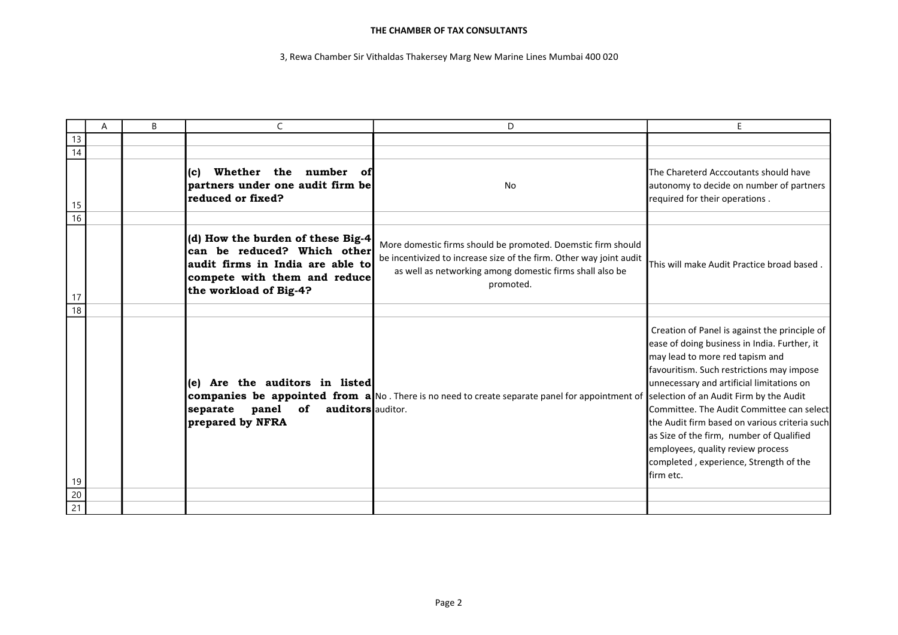|                 | A | B |                                                                                                                                                                | D                                                                                                                                                                                                            | E                                                                                                                                                                                                                                                                                                                                                                                                                                                                 |
|-----------------|---|---|----------------------------------------------------------------------------------------------------------------------------------------------------------------|--------------------------------------------------------------------------------------------------------------------------------------------------------------------------------------------------------------|-------------------------------------------------------------------------------------------------------------------------------------------------------------------------------------------------------------------------------------------------------------------------------------------------------------------------------------------------------------------------------------------------------------------------------------------------------------------|
| 13              |   |   |                                                                                                                                                                |                                                                                                                                                                                                              |                                                                                                                                                                                                                                                                                                                                                                                                                                                                   |
| 14              |   |   |                                                                                                                                                                |                                                                                                                                                                                                              |                                                                                                                                                                                                                                                                                                                                                                                                                                                                   |
| 15              |   |   | Whether the number of<br>(c)<br>partners under one audit firm be<br>reduced or fixed?                                                                          | No                                                                                                                                                                                                           | The Chareterd Acccoutants should have<br>autonomy to decide on number of partners<br>required for their operations.                                                                                                                                                                                                                                                                                                                                               |
| 16              |   |   |                                                                                                                                                                |                                                                                                                                                                                                              |                                                                                                                                                                                                                                                                                                                                                                                                                                                                   |
| 17              |   |   | (d) How the burden of these Big-4<br>can be reduced? Which other<br>audit firms in India are able to<br>compete with them and reduce<br>the workload of Big-4? | More domestic firms should be promoted. Doemstic firm should<br>be incentivized to increase size of the firm. Other way joint audit<br>as well as networking among domestic firms shall also be<br>promoted. | This will make Audit Practice broad based.                                                                                                                                                                                                                                                                                                                                                                                                                        |
| 18              |   |   |                                                                                                                                                                |                                                                                                                                                                                                              |                                                                                                                                                                                                                                                                                                                                                                                                                                                                   |
| 19              |   |   | Are the auditors in listed<br>le).<br>separate panel<br>of<br>auditors auditor.<br>prepared by NFRA                                                            | companies be appointed from a No. There is no need to create separate panel for appointment of selection of an Audit Firm by the Audit                                                                       | Creation of Panel is against the principle of<br>ease of doing business in India. Further, it<br>may lead to more red tapism and<br>favouritism. Such restrictions may impose<br>unnecessary and artificial limitations on<br>Committee. The Audit Committee can select<br>the Audit firm based on various criteria such<br>as Size of the firm, number of Qualified<br>employees, quality review process<br>completed, experience, Strength of the<br>lfirm etc. |
| $\overline{20}$ |   |   |                                                                                                                                                                |                                                                                                                                                                                                              |                                                                                                                                                                                                                                                                                                                                                                                                                                                                   |
| $\overline{21}$ |   |   |                                                                                                                                                                |                                                                                                                                                                                                              |                                                                                                                                                                                                                                                                                                                                                                                                                                                                   |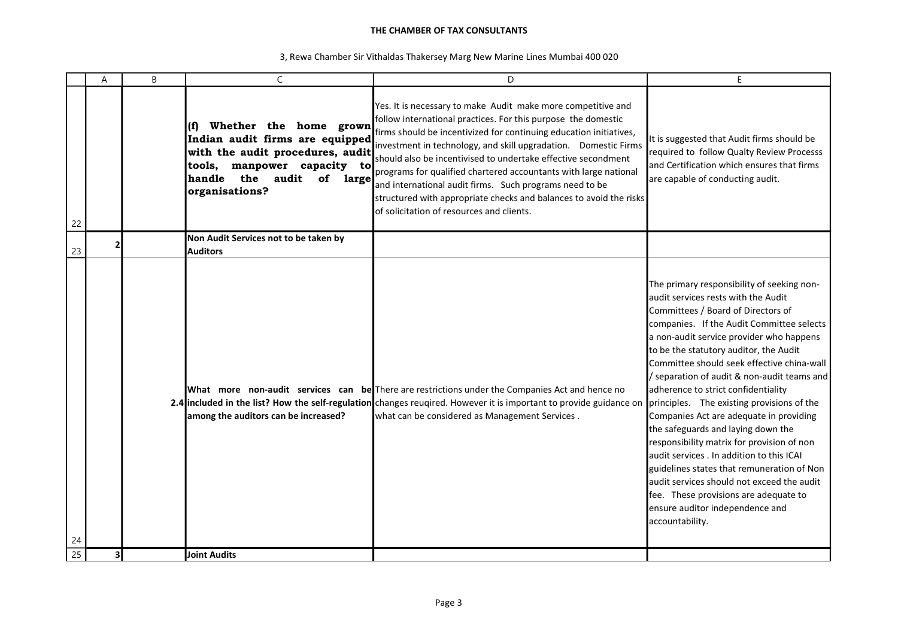|    | A | B | C                                                                                                                                                                                                    | D                                                                                                                                                                                                                                                                                                                                                                                                                                                                                                                                                                                         | E.                                                                                                                                                                                                                                                                                                                                                                                                                                                                                                                                                                                                                                                                                                                                                                                                                   |
|----|---|---|------------------------------------------------------------------------------------------------------------------------------------------------------------------------------------------------------|-------------------------------------------------------------------------------------------------------------------------------------------------------------------------------------------------------------------------------------------------------------------------------------------------------------------------------------------------------------------------------------------------------------------------------------------------------------------------------------------------------------------------------------------------------------------------------------------|----------------------------------------------------------------------------------------------------------------------------------------------------------------------------------------------------------------------------------------------------------------------------------------------------------------------------------------------------------------------------------------------------------------------------------------------------------------------------------------------------------------------------------------------------------------------------------------------------------------------------------------------------------------------------------------------------------------------------------------------------------------------------------------------------------------------|
| 22 |   |   | Whether the home grown<br>$\mathbf{f}$<br>Indian audit firms are equipped<br>with the audit procedures, audit<br>tools, manpower capacity to<br>handle the<br>audit<br>of<br>large<br>organisations? | Yes. It is necessary to make Audit make more competitive and<br>follow international practices. For this purpose the domestic<br>firms should be incentivized for continuing education initiatives,<br>investment in technology, and skill upgradation. Domestic Firms<br>should also be incentivised to undertake effective secondment<br>programs for qualified chartered accountants with large national<br>and international audit firms. Such programs need to be<br>structured with appropriate checks and balances to avoid the risks<br>of solicitation of resources and clients. | It is suggested that Audit firms should be<br>required to follow Qualty Review Processs<br>land Certification which ensures that firms<br>are capable of conducting audit.                                                                                                                                                                                                                                                                                                                                                                                                                                                                                                                                                                                                                                           |
| 23 |   |   | Non Audit Services not to be taken by<br><b>Auditors</b>                                                                                                                                             |                                                                                                                                                                                                                                                                                                                                                                                                                                                                                                                                                                                           |                                                                                                                                                                                                                                                                                                                                                                                                                                                                                                                                                                                                                                                                                                                                                                                                                      |
| 24 |   |   | among the auditors can be increased?                                                                                                                                                                 | What more non-audit services can be There are restrictions under the Companies Act and hence no<br>2.4 included in the list? How the self-regulation changes reugired. However it is important to provide guidance on<br>what can be considered as Management Services.                                                                                                                                                                                                                                                                                                                   | The primary responsibility of seeking non-<br>audit services rests with the Audit<br>Committees / Board of Directors of<br>companies. If the Audit Committee selects<br>a non-audit service provider who happens<br>to be the statutory auditor, the Audit<br>Committee should seek effective china-wall<br>/ separation of audit & non-audit teams and<br>adherence to strict confidentiality<br>principles. The existing provisions of the<br>Companies Act are adequate in providing<br>the safeguards and laying down the<br>responsibility matrix for provision of non<br>audit services . In addition to this ICAI<br>guidelines states that remuneration of Non<br>laudit services should not exceed the audit<br>fee. These provisions are adequate to<br>ensure auditor independence and<br>accountability. |
| 25 |   |   | Joint Audits                                                                                                                                                                                         |                                                                                                                                                                                                                                                                                                                                                                                                                                                                                                                                                                                           |                                                                                                                                                                                                                                                                                                                                                                                                                                                                                                                                                                                                                                                                                                                                                                                                                      |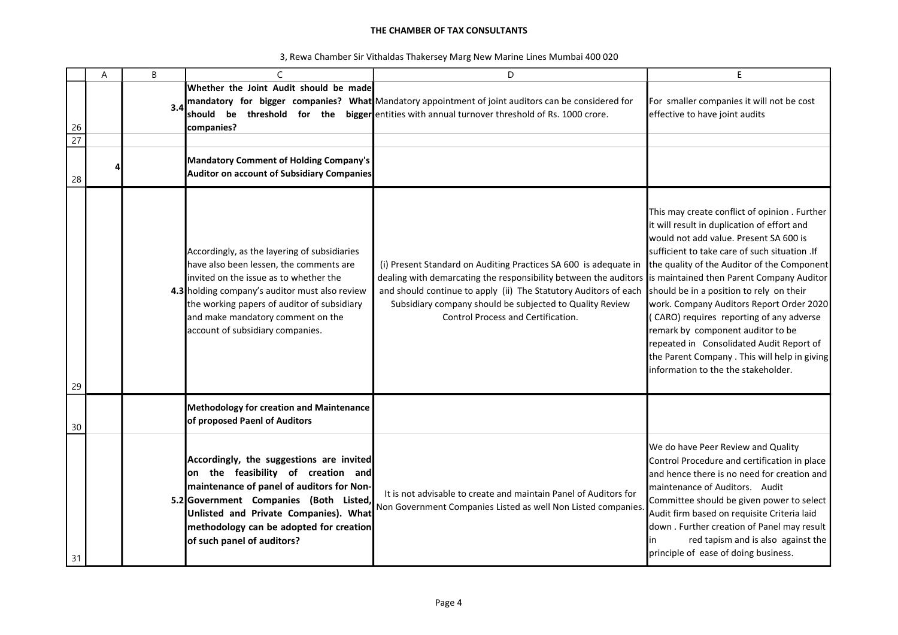|                       | Α | B   |                                                                                                                                                                                                                                                                                                             | D                                                                                                                                                                                                                                                                                                          | E.                                                                                                                                                                                                                                                                                                                                                                                                                                                                                                                                                                                                |
|-----------------------|---|-----|-------------------------------------------------------------------------------------------------------------------------------------------------------------------------------------------------------------------------------------------------------------------------------------------------------------|------------------------------------------------------------------------------------------------------------------------------------------------------------------------------------------------------------------------------------------------------------------------------------------------------------|---------------------------------------------------------------------------------------------------------------------------------------------------------------------------------------------------------------------------------------------------------------------------------------------------------------------------------------------------------------------------------------------------------------------------------------------------------------------------------------------------------------------------------------------------------------------------------------------------|
| 26<br>$\overline{27}$ |   | 3.4 | Whether the Joint Audit should be made<br>should be<br>companies?                                                                                                                                                                                                                                           | mandatory for bigger companies? What Mandatory appointment of joint auditors can be considered for<br>threshold for the bigger entities with annual turnover threshold of Rs. 1000 crore.                                                                                                                  | For smaller companies it will not be cost<br>effective to have joint audits                                                                                                                                                                                                                                                                                                                                                                                                                                                                                                                       |
| 28                    |   |     | Mandatory Comment of Holding Company's<br>Auditor on account of Subsidiary Companies                                                                                                                                                                                                                        |                                                                                                                                                                                                                                                                                                            |                                                                                                                                                                                                                                                                                                                                                                                                                                                                                                                                                                                                   |
| 29                    |   |     | Accordingly, as the layering of subsidiaries<br>have also been lessen, the comments are<br>invited on the issue as to whether the<br>4.3 holding company's auditor must also review<br>the working papers of auditor of subsidiary<br>and make mandatory comment on the<br>account of subsidiary companies. | (i) Present Standard on Auditing Practices SA 600 is adequate in<br>dealing with demarcating the responsibility between the auditors<br>and should continue to apply (ii) The Statutory Auditors of each<br>Subsidiary company should be subjected to Quality Review<br>Control Process and Certification. | This may create conflict of opinion . Further<br>it will result in duplication of effort and<br>would not add value. Present SA 600 is<br>sufficient to take care of such situation . If<br>the quality of the Auditor of the Component<br>is maintained then Parent Company Auditor<br>should be in a position to rely on their<br>work. Company Auditors Report Order 2020<br>(CARO) requires reporting of any adverse<br>remark by component auditor to be<br>repeated in Consolidated Audit Report of<br>the Parent Company . This will help in giving<br>information to the the stakeholder. |
| 30                    |   |     | <b>Methodology for creation and Maintenance</b><br>of proposed Paenl of Auditors                                                                                                                                                                                                                            |                                                                                                                                                                                                                                                                                                            |                                                                                                                                                                                                                                                                                                                                                                                                                                                                                                                                                                                                   |
| 31                    |   |     | Accordingly, the suggestions are invited<br>on the feasibility of creation and<br>maintenance of panel of auditors for Non-<br>5.2 Government Companies (Both Listed,<br>Unlisted and Private Companies). What<br>methodology can be adopted for creation<br>of such panel of auditors?                     | It is not advisable to create and maintain Panel of Auditors for<br>Non Government Companies Listed as well Non Listed companies                                                                                                                                                                           | We do have Peer Review and Quality<br>Control Procedure and certification in place<br>and hence there is no need for creation and<br>maintenance of Auditors. Audit<br>Committee should be given power to select<br>Audit firm based on requisite Criteria laid<br>down . Further creation of Panel may result<br>red tapism and is also against the<br>principle of ease of doing business.                                                                                                                                                                                                      |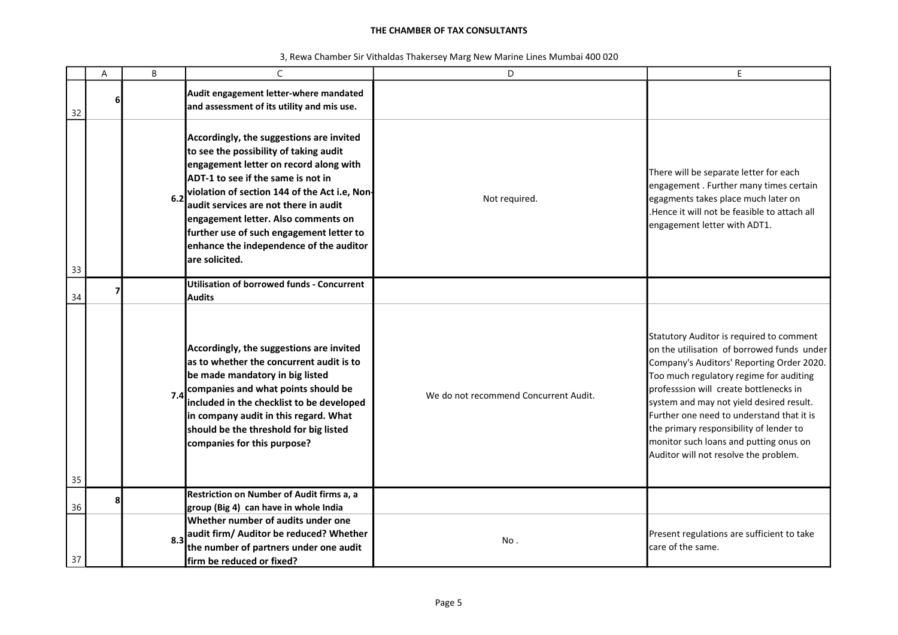|  |  | 3, Rewa Chamber Sir Vithaldas Thakersey Marg New Marine Lines Mumbai 400 020 |
|--|--|------------------------------------------------------------------------------|
|--|--|------------------------------------------------------------------------------|

|    | A | B   | C                                                                                                                                                                                                                                                                                                                                                                                                             | D                                     | E                                                                                                                                                                                                                                                                                                                                                                                                                                               |
|----|---|-----|---------------------------------------------------------------------------------------------------------------------------------------------------------------------------------------------------------------------------------------------------------------------------------------------------------------------------------------------------------------------------------------------------------------|---------------------------------------|-------------------------------------------------------------------------------------------------------------------------------------------------------------------------------------------------------------------------------------------------------------------------------------------------------------------------------------------------------------------------------------------------------------------------------------------------|
| 32 | 6 |     | Audit engagement letter-where mandated<br>and assessment of its utility and mis use.                                                                                                                                                                                                                                                                                                                          |                                       |                                                                                                                                                                                                                                                                                                                                                                                                                                                 |
| 33 |   | 6.2 | Accordingly, the suggestions are invited<br>to see the possibility of taking audit<br>engagement letter on record along with<br>ADT-1 to see if the same is not in<br>violation of section 144 of the Act i.e, Non-<br>audit services are not there in audit<br>engagement letter. Also comments on<br>further use of such engagement letter to<br>enhance the independence of the auditor<br>lare solicited. | Not required.                         | There will be separate letter for each<br>engagement. Further many times certain<br>egagments takes place much later on<br>.Hence it will not be feasible to attach all<br>engagement letter with ADT1.                                                                                                                                                                                                                                         |
| 34 |   |     | Utilisation of borrowed funds - Concurrent<br><b>Audits</b>                                                                                                                                                                                                                                                                                                                                                   |                                       |                                                                                                                                                                                                                                                                                                                                                                                                                                                 |
| 35 |   | 7.4 | Accordingly, the suggestions are invited<br>as to whether the concurrent audit is to<br>be made mandatory in big listed<br>companies and what points should be<br>included in the checklist to be developed<br>in company audit in this regard. What<br>should be the threshold for big listed<br>companies for this purpose?                                                                                 | We do not recommend Concurrent Audit. | Statutory Auditor is required to comment<br>on the utilisation of borrowed funds under<br>Company's Auditors' Reporting Order 2020.<br>Too much regulatory regime for auditing<br>professsion will create bottlenecks in<br>system and may not yield desired result.<br>Further one need to understand that it is<br>the primary responsibility of lender to<br>monitor such loans and putting onus on<br>Auditor will not resolve the problem. |
| 36 | я |     | Restriction on Number of Audit firms a, a<br>group (Big 4) can have in whole India                                                                                                                                                                                                                                                                                                                            |                                       |                                                                                                                                                                                                                                                                                                                                                                                                                                                 |
| 37 |   | 8.3 | Whether number of audits under one<br>audit firm/ Auditor be reduced? Whether<br>the number of partners under one audit<br>firm be reduced or fixed?                                                                                                                                                                                                                                                          | No.                                   | Present regulations are sufficient to take<br>care of the same.                                                                                                                                                                                                                                                                                                                                                                                 |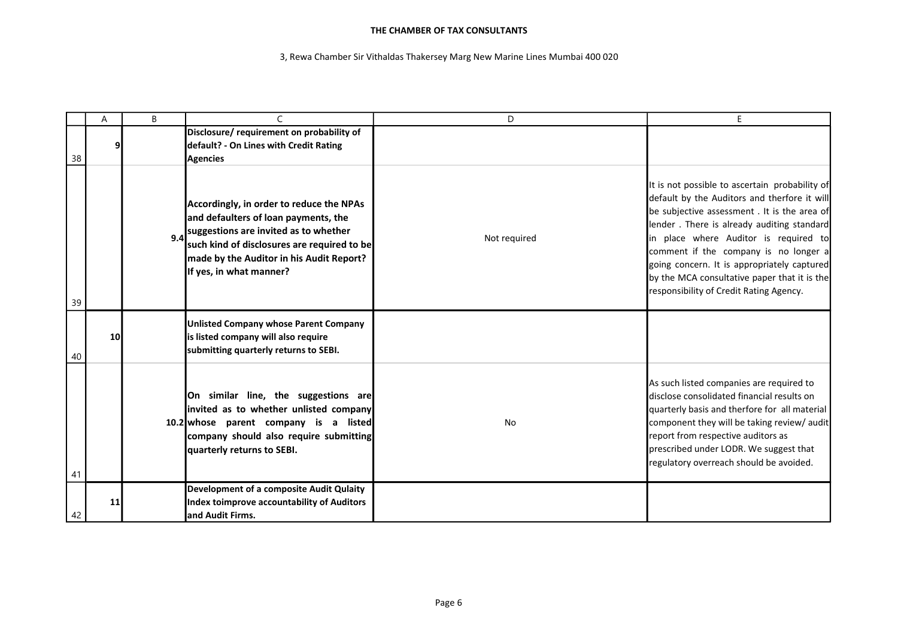|    | A  | B | $\mathsf{C}$                                                                                                                                                                                                                                        | D            | E                                                                                                                                                                                                                                                                                                                                                                                                                        |
|----|----|---|-----------------------------------------------------------------------------------------------------------------------------------------------------------------------------------------------------------------------------------------------------|--------------|--------------------------------------------------------------------------------------------------------------------------------------------------------------------------------------------------------------------------------------------------------------------------------------------------------------------------------------------------------------------------------------------------------------------------|
| 38 |    |   | Disclosure/requirement on probability of<br>default? - On Lines with Credit Rating<br><b>Agencies</b>                                                                                                                                               |              |                                                                                                                                                                                                                                                                                                                                                                                                                          |
| 39 |    |   | Accordingly, in order to reduce the NPAs<br>and defaulters of loan payments, the<br>9.4 suggestions are invited as to whether<br>such kind of disclosures are required to be<br>made by the Auditor in his Audit Report?<br>If yes, in what manner? | Not required | It is not possible to ascertain probability of<br>default by the Auditors and therfore it will<br>be subjective assessment . It is the area of<br>lender. There is already auditing standard<br>in place where Auditor is required to<br>comment if the company is no longer a<br>going concern. It is appropriately captured<br>by the MCA consultative paper that it is the<br>responsibility of Credit Rating Agency. |
| 40 | 10 |   | <b>Unlisted Company whose Parent Company</b><br>is listed company will also require<br>submitting quarterly returns to SEBI.                                                                                                                        |              |                                                                                                                                                                                                                                                                                                                                                                                                                          |
| 41 |    |   | On similar line, the suggestions are<br>invited as to whether unlisted company<br>10.2 whose parent company is a listed<br>company should also require submitting<br>quarterly returns to SEBI.                                                     | <b>No</b>    | As such listed companies are required to<br>disclose consolidated financial results on<br>quarterly basis and therfore for all material<br>component they will be taking review/ audit<br>report from respective auditors as<br>prescribed under LODR. We suggest that<br>regulatory overreach should be avoided.                                                                                                        |
| 42 | 11 |   | Development of a composite Audit Qulaity<br>Index toimprove accountability of Auditors<br>land Audit Firms.                                                                                                                                         |              |                                                                                                                                                                                                                                                                                                                                                                                                                          |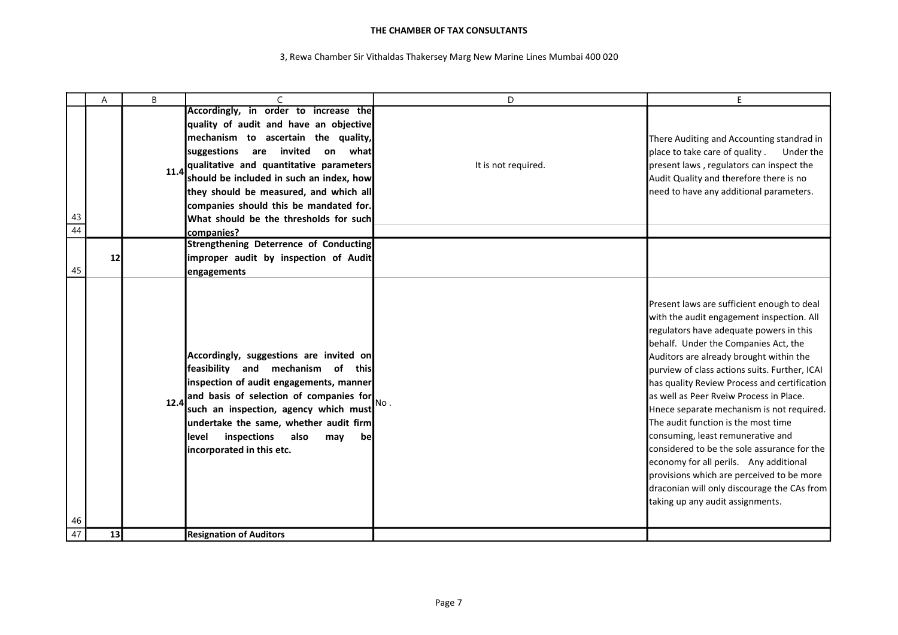|                 | A  | B    | $\mathsf{C}$                                                                                                                                                                                                                                                                                                                     | D                   | E                                                                                                                                                                                                                                                                                                                                                                                                                                                                                                                                                                                                                                                                                                                    |
|-----------------|----|------|----------------------------------------------------------------------------------------------------------------------------------------------------------------------------------------------------------------------------------------------------------------------------------------------------------------------------------|---------------------|----------------------------------------------------------------------------------------------------------------------------------------------------------------------------------------------------------------------------------------------------------------------------------------------------------------------------------------------------------------------------------------------------------------------------------------------------------------------------------------------------------------------------------------------------------------------------------------------------------------------------------------------------------------------------------------------------------------------|
|                 |    |      | Accordingly, in order to increase the                                                                                                                                                                                                                                                                                            |                     |                                                                                                                                                                                                                                                                                                                                                                                                                                                                                                                                                                                                                                                                                                                      |
|                 |    |      | quality of audit and have an objective                                                                                                                                                                                                                                                                                           |                     |                                                                                                                                                                                                                                                                                                                                                                                                                                                                                                                                                                                                                                                                                                                      |
|                 |    |      | mechanism to ascertain the quality,                                                                                                                                                                                                                                                                                              |                     | There Auditing and Accounting standrad in                                                                                                                                                                                                                                                                                                                                                                                                                                                                                                                                                                                                                                                                            |
|                 |    |      | suggestions are invited<br>on what                                                                                                                                                                                                                                                                                               |                     | place to take care of quality.<br>Under the                                                                                                                                                                                                                                                                                                                                                                                                                                                                                                                                                                                                                                                                          |
|                 |    |      | 11.4 qualitative and quantitative parameters                                                                                                                                                                                                                                                                                     | It is not required. | present laws, regulators can inspect the                                                                                                                                                                                                                                                                                                                                                                                                                                                                                                                                                                                                                                                                             |
|                 |    |      | should be included in such an index, how                                                                                                                                                                                                                                                                                         |                     | Audit Quality and therefore there is no                                                                                                                                                                                                                                                                                                                                                                                                                                                                                                                                                                                                                                                                              |
|                 |    |      | they should be measured, and which all                                                                                                                                                                                                                                                                                           |                     | need to have any additional parameters.                                                                                                                                                                                                                                                                                                                                                                                                                                                                                                                                                                                                                                                                              |
|                 |    |      | companies should this be mandated for.                                                                                                                                                                                                                                                                                           |                     |                                                                                                                                                                                                                                                                                                                                                                                                                                                                                                                                                                                                                                                                                                                      |
| 43              |    |      | What should be the thresholds for such                                                                                                                                                                                                                                                                                           |                     |                                                                                                                                                                                                                                                                                                                                                                                                                                                                                                                                                                                                                                                                                                                      |
| $\overline{44}$ |    |      | companies?                                                                                                                                                                                                                                                                                                                       |                     |                                                                                                                                                                                                                                                                                                                                                                                                                                                                                                                                                                                                                                                                                                                      |
|                 |    |      | <b>Strengthening Deterrence of Conducting</b>                                                                                                                                                                                                                                                                                    |                     |                                                                                                                                                                                                                                                                                                                                                                                                                                                                                                                                                                                                                                                                                                                      |
|                 | 12 |      | improper audit by inspection of Audit                                                                                                                                                                                                                                                                                            |                     |                                                                                                                                                                                                                                                                                                                                                                                                                                                                                                                                                                                                                                                                                                                      |
| 45              |    |      | engagements                                                                                                                                                                                                                                                                                                                      |                     |                                                                                                                                                                                                                                                                                                                                                                                                                                                                                                                                                                                                                                                                                                                      |
| 46              |    | 12.4 | Accordingly, suggestions are invited on<br>feasibility and mechanism of this<br>inspection of audit engagements, manner<br>and basis of selection of companies for<br>such an inspection, agency which must<br>undertake the same, whether audit firm<br>inspections<br>llevel<br>also<br>may<br>be<br>incorporated in this etc. | No.                 | Present laws are sufficient enough to deal<br>with the audit engagement inspection. All<br>regulators have adequate powers in this<br>behalf. Under the Companies Act, the<br>Auditors are already brought within the<br>purview of class actions suits. Further, ICAI<br>has quality Review Process and certification<br>las well as Peer Ryeiw Process in Place.<br>Hnece separate mechanism is not required.<br>The audit function is the most time<br>consuming, least remunerative and<br>considered to be the sole assurance for the<br>economy for all perils. Any additional<br>provisions which are perceived to be more<br>draconian will only discourage the CAs from<br>taking up any audit assignments. |
| 47              | 13 |      | <b>Resignation of Auditors</b>                                                                                                                                                                                                                                                                                                   |                     |                                                                                                                                                                                                                                                                                                                                                                                                                                                                                                                                                                                                                                                                                                                      |